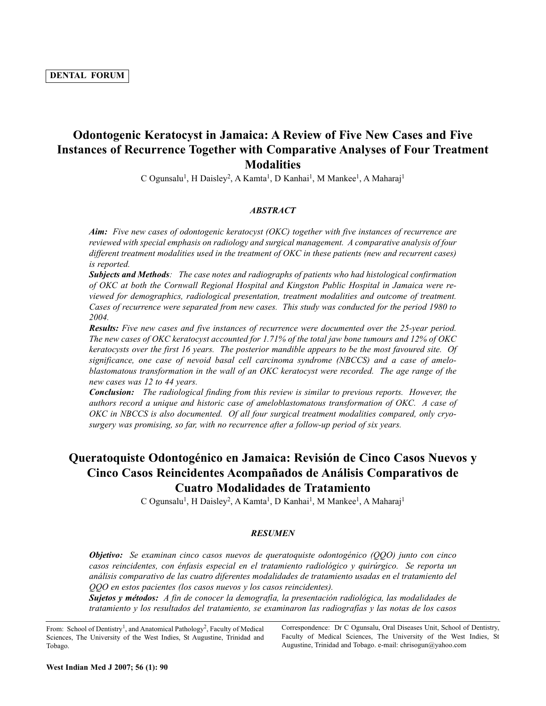# **Odontogenic Keratocyst in Jamaica: A Review of Five New Cases and Five Instances of Recurrence Together with Comparative Analyses of Four Treatment Modalities**

C Ogunsalu<sup>1</sup>, H Daisley<sup>2</sup>, A Kamta<sup>1</sup>, D Kanhai<sup>1</sup>, M Mankee<sup>1</sup>, A Maharaj<sup>1</sup>

## *ABSTRACT*

*Aim: Five new cases of odontogenic keratocyst (OKC) together with five instances of recurrence are reviewed with special emphasis on radiology and surgical management. A comparative analysis of four different treatment modalities used in the treatment of OKC in these patients (new and recurrent cases) is reported.*

*Subjects and Methods: The case notes and radiographs of patients who had histological confirmation of OKC at both the Cornwall Regional Hospital and Kingston Public Hospital in Jamaica were reviewed for demographics, radiological presentation, treatment modalities and outcome of treatment. Cases of recurrence were separated from new cases. This study was conducted for the period 1980 to 2004.*

*Results: Five new cases and five instances of recurrence were documented over the 25-year period. The new cases of OKC keratocyst accounted for 1.71% of the total jaw bone tumours and 12% of OKC keratocysts over the first 16 years. The posterior mandible appears to be the most favoured site. Of significance, one case of nevoid basal cell carcinoma syndrome (NBCCS) and a case of ameloblastomatous transformation in the wall of an OKC keratocyst were recorded. The age range of the new cases was 12 to 44 years.*

*Conclusion: The radiological finding from this review is similar to previous reports. However, the authors record a unique and historic case of ameloblastomatous transformation of OKC. A case of OKC in NBCCS is also documented. Of all four surgical treatment modalities compared, only cryosurgery was promising, so far, with no recurrence after a follow-up period of six years.*

# **Queratoquiste Odontogénico en Jamaica: Revisión de Cinco Casos Nuevos y Cinco Casos Reincidentes Acompañados de Análisis Comparativos de Cuatro Modalidades de Tratamiento**

C Ogunsalu<sup>1</sup>, H Daisley<sup>2</sup>, A Kamta<sup>1</sup>, D Kanhai<sup>1</sup>, M Mankee<sup>1</sup>, A Maharaj<sup>1</sup>

#### *RESUMEN*

*Objetivo: Se examinan cinco casos nuevos de queratoquiste odontogénico (QQO) junto con cinco casos reincidentes, con énfasis especial en el tratamiento radiológico y quirúrgico. Se reporta un análisis comparativo de las cuatro diferentes modalidades de tratamiento usadas en el tratamiento del QQO en estos pacientes (los casos nuevos y los casos reincidentes).* 

*Sujetos y métodos: A fin de conocer la demografía, la presentación radiológica, las modalidades de tratamiento y los resultados del tratamiento, se examinaron las radiografías y las notas de los casos*

From: School of Dentistry<sup>1</sup>, and Anatomical Pathology<sup>2</sup>, Faculty of Medical Sciences, The University of the West Indies, St Augustine, Trinidad and Tobago.

Correspondence: Dr C Ogunsalu, Oral Diseases Unit, School of Dentistry, Faculty of Medical Sciences, The University of the West Indies, St Augustine, Trinidad and Tobago. e-mail: chrisogun@yahoo.com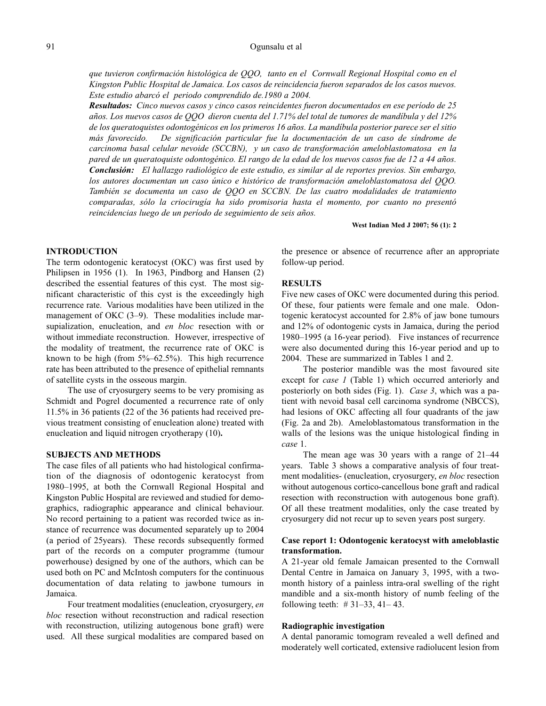#### Ogunsalu et al

*que tuvieron confirmación histológica de QQO, tanto en el Cornwall Regional Hospital como en el Kingston Public Hospital de Jamaica. Los casos de reincidencia fueron separados de los casos nuevos. Este estudio abarcó el periodo comprendido de.1980 a 2004.*

*Resultados: Cinco nuevos casos y cinco casos reincidentes fueron documentados en ese período de 25 años. Los nuevos casos de QQO dieron cuenta del 1.71% del total de tumores de mandíbula y del 12% de los queratoquistes odontogénicos en los primeros 16 años. La mandíbula posterior parece ser el sitio más favorecido. De significación particular fue la documentación de un caso de síndrome de carcinoma basal celular nevoide (SCCBN), y un caso de transformación ameloblastomatosa en la pared de un queratoquiste odontogénico. El rango de la edad de los nuevos casos fue de 12 a 44 años. Conclusión: El hallazgo radiológico de este estudio, es similar al de reportes previos. Sin embargo, los autores documentan un caso único e histórico de transformación ameloblastomatosa del QQO. También se documenta un caso de QQO en SCCBN. De las cuatro modalidades de tratamiento comparadas, sólo la criocirugía ha sido promisoria hasta el momento, por cuanto no presentó reincidencias luego de un período de seguimiento de seis años.*

**West Indian Med J 2007; 56 (1): 2**

#### **INTRODUCTION**

The term odontogenic keratocyst (OKC) was first used by Philipsen in 1956 (1). In 1963, Pindborg and Hansen (2) described the essential features of this cyst. The most significant characteristic of this cyst is the exceedingly high recurrence rate. Various modalities have been utilized in the management of OKC (3-9). These modalities include marsupialization, enucleation, and *en bloc* resection with or without immediate reconstruction. However, irrespective of the modality of treatment, the recurrence rate of OKC is known to be high (from  $5\%$ –62.5%). This high recurrence rate has been attributed to the presence of epithelial remnants of satellite cysts in the osseous margin.

The use of cryosurgery seems to be very promising as Schmidt and Pogrel documented a recurrence rate of only 11.5% in 36 patients (22 of the 36 patients had received previous treatment consisting of enucleation alone) treated with enucleation and liquid nitrogen cryotherapy (10)**.**

### **SUBJECTS AND METHODS**

The case files of all patients who had histological confirmation of the diagnosis of odontogenic keratocyst from 1980–1995, at both the Cornwall Regional Hospital and Kingston Public Hospital are reviewed and studied for demographics, radiographic appearance and clinical behaviour. No record pertaining to a patient was recorded twice as instance of recurrence was documented separately up to 2004 (a period of 25years). These records subsequently formed part of the records on a computer programme (tumour powerhouse) designed by one of the authors, which can be used both on PC and McIntosh computers for the continuous documentation of data relating to jawbone tumours in Jamaica.

Four treatment modalities (enucleation, cryosurgery, *en bloc* resection without reconstruction and radical resection with reconstruction, utilizing autogenous bone graft) were used. All these surgical modalities are compared based on the presence or absence of recurrence after an appropriate follow-up period.

## **RESULTS**

Five new cases of OKC were documented during this period. Of these, four patients were female and one male. Odontogenic keratocyst accounted for 2.8% of jaw bone tumours and 12% of odontogenic cysts in Jamaica, during the period 1980–1995 (a 16-year period). Five instances of recurrence were also documented during this 16-year period and up to 2004. These are summarized in Tables 1 and 2.

The posterior mandible was the most favoured site except for *case 1* (Table 1) which occurred anteriorly and posteriorly on both sides (Fig. 1). *Case 3*, which was a patient with nevoid basal cell carcinoma syndrome (NBCCS), had lesions of OKC affecting all four quadrants of the jaw (Fig. 2a and 2b). Ameloblastomatous transformation in the walls of the lesions was the unique histological finding in *case* 1.

The mean age was 30 years with a range of 21–44 years. Table 3 shows a comparative analysis of four treatment modalities- (enucleation, cryosurgery, *en bloc* resection without autogenous cortico-cancellous bone graft and radical resection with reconstruction with autogenous bone graft). Of all these treatment modalities, only the case treated by cryosurgery did not recur up to seven years post surgery.

## **Case report 1: Odontogenic keratocyst with ameloblastic transformation.**

A 21-year old female Jamaican presented to the Cornwall Dental Centre in Jamaica on January 3, 1995, with a twomonth history of a painless intra-oral swelling of the right mandible and a six-month history of numb feeling of the following teeth:  $\# 31-33$ , 41–43.

#### **Radiographic investigation**

A dental panoramic tomogram revealed a well defined and moderately well corticated, extensive radiolucent lesion from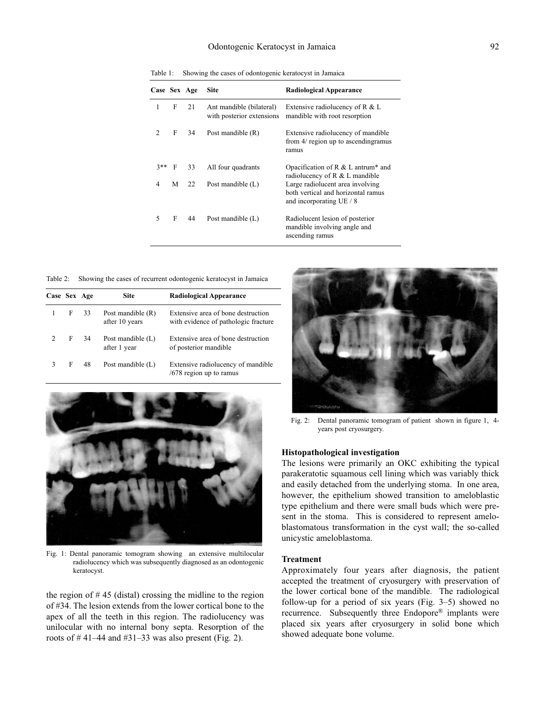## Odontogenic Keratocyst in Jamaica

| Case Sex Age   |   |    | <b>Site</b>                                           | <b>Radiological Appearance</b>                                                                     |  |
|----------------|---|----|-------------------------------------------------------|----------------------------------------------------------------------------------------------------|--|
| 1              | F | 21 | Ant mandible (bilateral)<br>with posterior extensions | Extensive radiolucency of $R \& L$<br>mandible with root resorption                                |  |
| $\mathcal{L}$  | F | 34 | Post mandible $(R)$                                   | Extensive radiolucency of mandible<br>from 4/ region up to ascending ramus<br>ramus                |  |
| $3**$          | F | 33 | All four quadrants                                    | Opacification of R $&$ L antrum <sup>*</sup> and<br>radiolucency of $R < L$ mandible               |  |
| $\overline{4}$ | M | 22 | Post mandible $(L)$                                   | Large radiolucent area involving<br>both vertical and horizontal ramus<br>and incorporating UE / 8 |  |
| 5              | F | 44 | Post mandible $(L)$                                   | Radiolucent lesion of posterior<br>mandible involving angle and<br>ascending ramus                 |  |

Table 1: Showing the cases of odontogenic keratocyst in Jamaica

Table 2: Showing the cases of recurrent odontogenic keratocyst in Jamaica

| Case Sex Age  |   |    | <b>Site</b>                         | <b>Radiological Appearance</b>                                             |
|---------------|---|----|-------------------------------------|----------------------------------------------------------------------------|
|               | F | 33 | Post mandible (R)<br>after 10 years | Extensive area of bone destruction<br>with evidence of pathologic fracture |
| $\mathcal{P}$ | F | 34 | Post mandible $(L)$<br>after 1 year | Extensive area of bone destruction<br>of posterior mandible                |
| 3             | F | 48 | Post mandible (L)                   | Extensive radiolucency of mandible<br>$/678$ region up to ramus            |



Fig. 1: Dental panoramic tomogram showing an extensive multilocular radiolucency which was subsequently diagnosed as an odontogenic keratocyst.

the region of  $# 45$  (distal) crossing the midline to the region of #34. The lesion extends from the lower cortical bone to the apex of all the teeth in this region. The radiolucency was unilocular with no internal bony septa. Resorption of the roots of  $\#$  41–44 and  $\#$ 31–33 was also present (Fig. 2).



Fig. 2: Dental panoramic tomogram of patient shown in figure 1, 4 years post cryosurgery.

### **Histopathological investigation**

The lesions were primarily an OKC exhibiting the typical parakeratotic squamous cell lining which was variably thick and easily detached from the underlying stoma. In one area, however, the epithelium showed transition to ameloblastic type epithelium and there were small buds which were present in the stoma. This is considered to represent ameloblastomatous transformation in the cyst wall; the so-called unicystic ameloblastoma.

#### **Treatment**

Approximately four years after diagnosis, the patient accepted the treatment of cryosurgery with preservation of the lower cortical bone of the mandible. The radiological follow-up for a period of six years (Fig. 3–5) showed no recurrence. Subsequently three Endopore® implants were placed six years after cryosurgery in solid bone which showed adequate bone volume.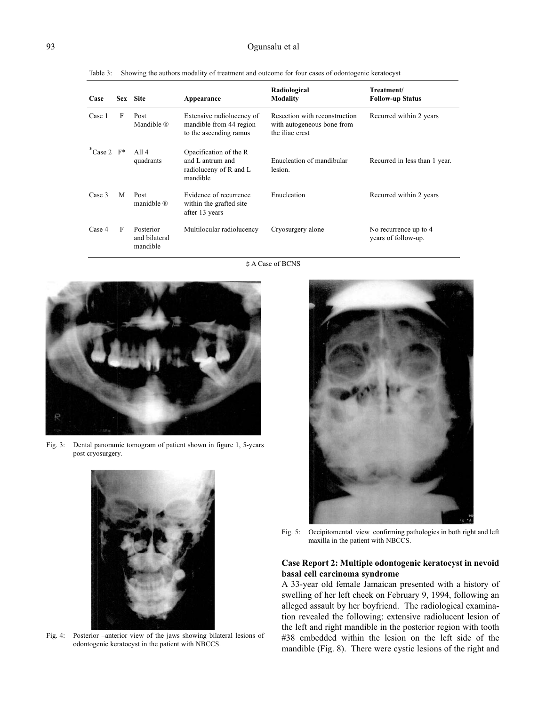## Ogunsalu et al

| Case                |   | Sex Site                               | Appearance                                                                       | Radiological<br><b>Modality</b>                                                | Treatment/<br><b>Follow-up Status</b>        |
|---------------------|---|----------------------------------------|----------------------------------------------------------------------------------|--------------------------------------------------------------------------------|----------------------------------------------|
| Case 1              | F | Post<br>Mandible $\mathbb{R}$          | Extensive radiolucency of<br>mandible from 44 region<br>to the ascending ramus   | Resection with reconstruction<br>with autogeneous bone from<br>the iliac crest | Recurred within 2 years                      |
| *Case 2 $F^*$ All 4 |   | quadrants                              | Opacification of the R<br>and L antrum and<br>radioluceny of R and L<br>mandible | Enucleation of mandibular<br>lesion.                                           | Recurred in less than 1 year.                |
| Case 3              | M | Post<br>manidble $\mathbb{R}$          | Evidence of recurrence<br>within the grafted site.<br>after 13 years             | Enucleation                                                                    | Recurred within 2 years                      |
| Case 4              | F | Posterior<br>and bilateral<br>mandible | Multilocular radiolucency                                                        | Cryosurgery alone                                                              | No recurrence up to 4<br>years of follow-up. |

Table 3: Showing the authors modality of treatment and outcome for four cases of odontogenic keratocyst

\$ A Case of BCNS



Fig. 3: Dental panoramic tomogram of patient shown in figure 1, 5-years post cryosurgery.



Fig. 4: Posterior –anterior view of the jaws showing bilateral lesions of odontogenic keratocyst in the patient with NBCCS.



Fig. 5: Occipitomental view confirming pathologies in both right and left maxilla in the patient with NBCCS.

# **Case Report 2: Multiple odontogenic keratocyst in nevoid basal cell carcinoma syndrome**

A 33-year old female Jamaican presented with a history of swelling of her left cheek on February 9, 1994, following an alleged assault by her boyfriend. The radiological examination revealed the following: extensive radiolucent lesion of the left and right mandible in the posterior region with tooth #38 embedded within the lesion on the left side of the mandible (Fig. 8). There were cystic lesions of the right and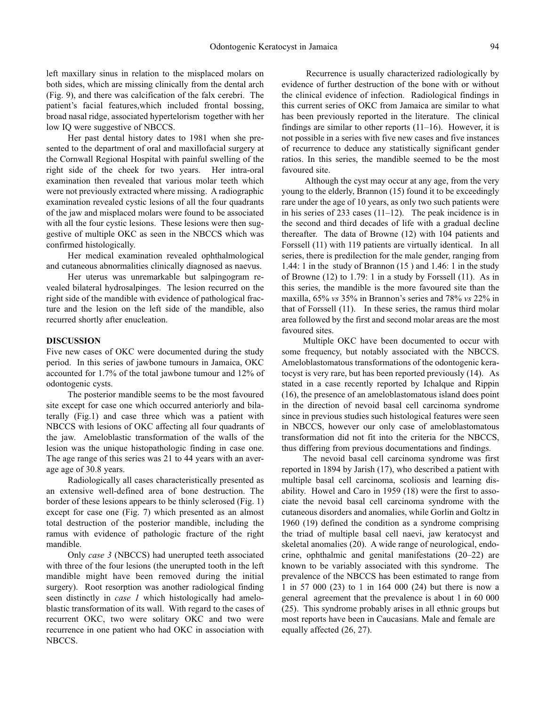left maxillary sinus in relation to the misplaced molars on both sides, which are missing clinically from the dental arch (Fig. 9), and there was calcification of the falx cerebri. The patient's facial features,which included frontal bossing, broad nasal ridge, associated hypertelorism together with her low IQ were suggestive of NBCCS.

Her past dental history dates to 1981 when she presented to the department of oral and maxillofacial surgery at the Cornwall Regional Hospital with painful swelling of the right side of the cheek for two years. Her intra-oral examination then revealed that various molar teeth which were not previously extracted where missing. A radiographic examination revealed cystic lesions of all the four quadrants of the jaw and misplaced molars were found to be associated with all the four cystic lesions. These lesions were then suggestive of multiple OKC as seen in the NBCCS which was confirmed histologically.

Her medical examination revealed ophthalmological and cutaneous abnormalities clinically diagnosed as naevus.

Her uterus was unremarkable but salpingogram revealed bilateral hydrosalpinges. The lesion recurred on the right side of the mandible with evidence of pathological fracture and the lesion on the left side of the mandible, also recurred shortly after enucleation.

## **DISCUSSION**

Five new cases of OKC were documented during the study period. In this series of jawbone tumours in Jamaica, OKC accounted for 1.7% of the total jawbone tumour and 12% of odontogenic cysts.

The posterior mandible seems to be the most favoured site except for case one which occurred anteriorly and bilaterally (Fig.1) and case three which was a patient with NBCCS with lesions of OKC affecting all four quadrants of the jaw. Ameloblastic transformation of the walls of the lesion was the unique histopathologic finding in case one. The age range of this series was 21 to 44 years with an average age of 30.8 years.

Radiologically all cases characteristically presented as an extensive well-defined area of bone destruction. The border of these lesions appears to be thinly sclerosed (Fig. 1) except for case one (Fig. 7) which presented as an almost total destruction of the posterior mandible, including the ramus with evidence of pathologic fracture of the right mandible.

Only *case 3* (NBCCS) had unerupted teeth associated with three of the four lesions (the unerupted tooth in the left mandible might have been removed during the initial surgery). Root resorption was another radiological finding seen distinctly in *case 1* which histologically had ameloblastic transformation of its wall. With regard to the cases of recurrent OKC, two were solitary OKC and two were recurrence in one patient who had OKC in association with NBCCS.

Recurrence is usually characterized radiologically by evidence of further destruction of the bone with or without the clinical evidence of infection. Radiological findings in this current series of OKC from Jamaica are similar to what has been previously reported in the literature. The clinical findings are similar to other reports (11–16). However, it is not possible in a series with five new cases and five instances of recurrence to deduce any statistically significant gender ratios. In this series, the mandible seemed to be the most favoured site.

Although the cyst may occur at any age, from the very young to the elderly, Brannon (15) found it to be exceedingly rare under the age of 10 years, as only two such patients were in his series of 233 cases (11–12). The peak incidence is in the second and third decades of life with a gradual decline thereafter. The data of Browne (12) with 104 patients and Forssell (11) with 119 patients are virtually identical. In all series, there is predilection for the male gender, ranging from 1.44: 1 in the study of Brannon (15 ) and 1.46: 1 in the study of Browne (12) to 1.79: 1 in a study by Forssell (11). As in this series, the mandible is the more favoured site than the maxilla, 65% *vs* 35% in Brannon's series and 78% *vs* 22% in that of Forssell (11). In these series, the ramus third molar area followed by the first and second molar areas are the most favoured sites.

Multiple OKC have been documented to occur with some frequency, but notably associated with the NBCCS. Ameloblastomatous transformations of the odontogenic keratocyst is very rare, but has been reported previously (14). As stated in a case recently reported by Ichalque and Rippin (16), the presence of an ameloblastomatous island does point in the direction of nevoid basal cell carcinoma syndrome since in previous studies such histological features were seen in NBCCS, however our only case of ameloblastomatous transformation did not fit into the criteria for the NBCCS, thus differing from previous documentations and findings.

The nevoid basal cell carcinoma syndrome was first reported in 1894 by Jarish (17), who described a patient with multiple basal cell carcinoma, scoliosis and learning disability. Howel and Caro in 1959 (18) were the first to associate the nevoid basal cell carcinoma syndrome with the cutaneous disorders and anomalies, while Gorlin and Goltz in 1960 (19) defined the condition as a syndrome comprising the triad of multiple basal cell naevi, jaw keratocyst and skeletal anomalies (20). A wide range of neurological, endocrine, ophthalmic and genital manifestations (20–22) are known to be variably associated with this syndrome. The prevalence of the NBCCS has been estimated to range from 1 in 57 000 (23) to 1 in 164 000 (24) but there is now a general agreement that the prevalence is about 1 in 60 000 (25). This syndrome probably arises in all ethnic groups but most reports have been in Caucasians. Male and female are equally affected (26, 27).